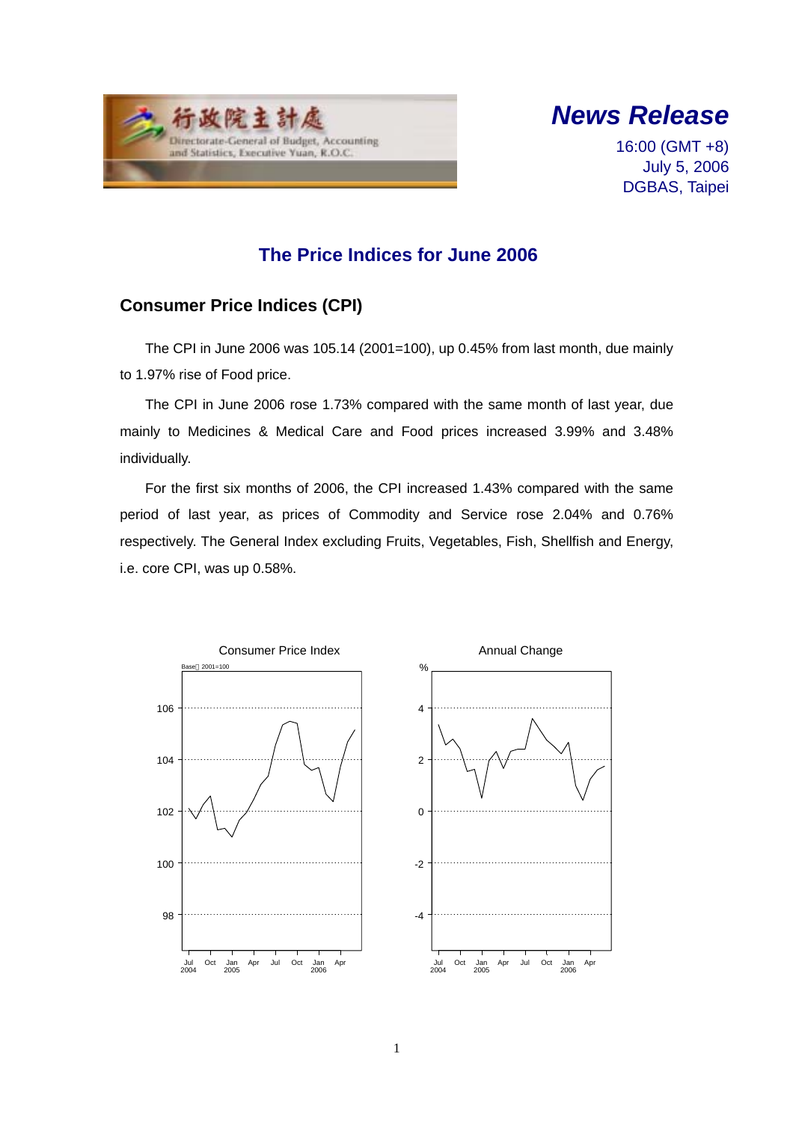



16:00 (GMT +8) July 5, 2006 DGBAS, Taipei

## **The Price Indices for June 2006**

### **Consumer Price Indices (CPI)**

The CPI in June 2006 was 105.14 (2001=100), up 0.45% from last month, due mainly to 1.97% rise of Food price.

The CPI in June 2006 rose 1.73% compared with the same month of last year, due mainly to Medicines & Medical Care and Food prices increased 3.99% and 3.48% individually.

For the first six months of 2006, the CPI increased 1.43% compared with the same period of last year, as prices of Commodity and Service rose 2.04% and 0.76% respectively. The General Index excluding Fruits, Vegetables, Fish, Shellfish and Energy, i.e. core CPI, was up 0.58%.

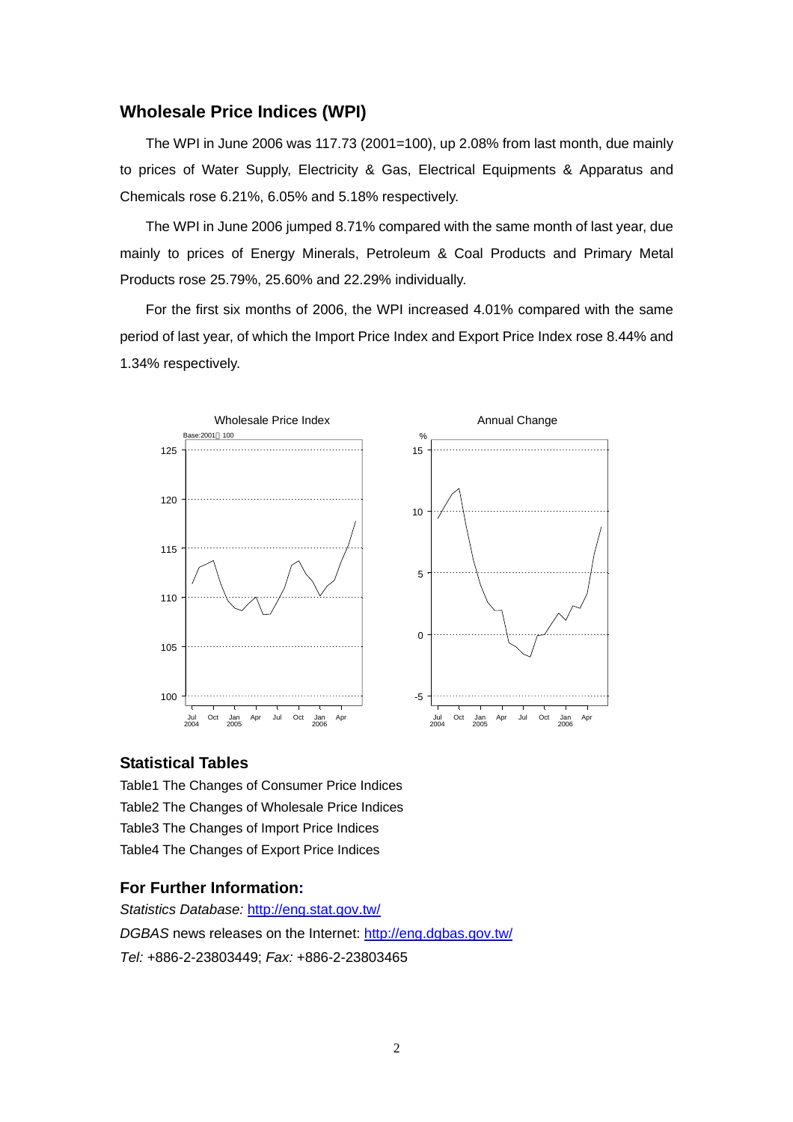#### **Wholesale Price Indices (WPI)**

The WPI in June 2006 was 117.73 (2001=100), up 2.08% from last month, due mainly to prices of Water Supply, Electricity & Gas, Electrical Equipments & Apparatus and Chemicals rose 6.21%, 6.05% and 5.18% respectively.

The WPI in June 2006 jumped 8.71% compared with the same month of last year, due mainly to prices of Energy Minerals, Petroleum & Coal Products and Primary Metal Products rose 25.79%, 25.60% and 22.29% individually.

For the first six months of 2006, the WPI increased 4.01% compared with the same period of last year, of which the Import Price Index and Export Price Index rose 8.44% and 1.34% respectively.



#### **Statistical Tables**

Table1 The Changes of Consumer Price Indices Table2 The Changes of Wholesale Price Indices Table3 The Changes of Import Price Indices Table4 The Changes of Export Price Indices

#### **For Further Information:**

*Statistics Database:* http://eng.stat.gov.tw/ *DGBAS* news releases on the Internet: http://eng.dgbas.gov.tw/ *Tel:* +886-2-23803449; *Fax:* +886-2-23803465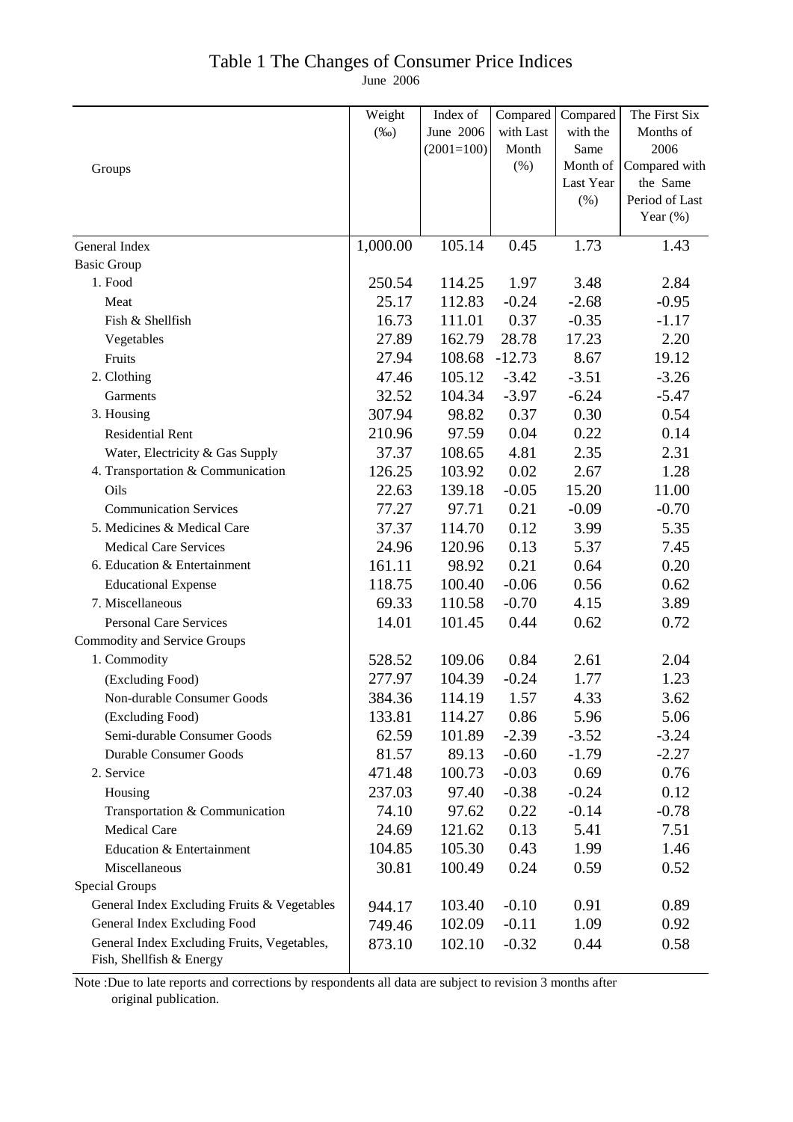### Table 1 The Changes of Consumer Price Indices

June 2006

|                                             | Weight   | Index of     | Compared  | Compared  | The First Six  |
|---------------------------------------------|----------|--------------|-----------|-----------|----------------|
|                                             | $(\%0)$  | June 2006    | with Last | with the  | Months of      |
|                                             |          | $(2001=100)$ | Month     | Same      | 2006           |
| Groups                                      |          |              | $(\% )$   | Month of  | Compared with  |
|                                             |          |              |           | Last Year | the Same       |
|                                             |          |              |           | (%)       | Period of Last |
|                                             |          |              |           |           | Year $(\%)$    |
| General Index                               | 1,000.00 | 105.14       | 0.45      | 1.73      | 1.43           |
| <b>Basic Group</b>                          |          |              |           |           |                |
| 1. Food                                     | 250.54   | 114.25       | 1.97      | 3.48      | 2.84           |
| Meat                                        | 25.17    | 112.83       | $-0.24$   | $-2.68$   | $-0.95$        |
| Fish & Shellfish                            | 16.73    | 111.01       | 0.37      | $-0.35$   | $-1.17$        |
| Vegetables                                  | 27.89    | 162.79       | 28.78     | 17.23     | 2.20           |
| Fruits                                      | 27.94    | 108.68       | $-12.73$  | 8.67      | 19.12          |
| 2. Clothing                                 | 47.46    | 105.12       | $-3.42$   | $-3.51$   | $-3.26$        |
| Garments                                    | 32.52    | 104.34       | $-3.97$   | $-6.24$   | $-5.47$        |
| 3. Housing                                  | 307.94   | 98.82        | 0.37      | 0.30      | 0.54           |
| <b>Residential Rent</b>                     | 210.96   | 97.59        | 0.04      | 0.22      | 0.14           |
| Water, Electricity & Gas Supply             | 37.37    | 108.65       | 4.81      | 2.35      | 2.31           |
| 4. Transportation & Communication           | 126.25   | 103.92       | 0.02      | 2.67      | 1.28           |
| Oils                                        | 22.63    | 139.18       | $-0.05$   | 15.20     | 11.00          |
| <b>Communication Services</b>               | 77.27    | 97.71        | 0.21      | $-0.09$   | $-0.70$        |
| 5. Medicines & Medical Care                 | 37.37    | 114.70       | 0.12      | 3.99      | 5.35           |
| <b>Medical Care Services</b>                | 24.96    | 120.96       | 0.13      | 5.37      | 7.45           |
| 6. Education & Entertainment                | 161.11   | 98.92        | 0.21      | 0.64      | 0.20           |
| <b>Educational Expense</b>                  | 118.75   | 100.40       | $-0.06$   | 0.56      | 0.62           |
| 7. Miscellaneous                            | 69.33    | 110.58       | $-0.70$   | 4.15      | 3.89           |
| <b>Personal Care Services</b>               | 14.01    | 101.45       | 0.44      | 0.62      | 0.72           |
| <b>Commodity and Service Groups</b>         |          |              |           |           |                |
| 1. Commodity                                | 528.52   | 109.06       | 0.84      | 2.61      | 2.04           |
| (Excluding Food)                            | 277.97   | 104.39       | $-0.24$   | 1.77      | 1.23           |
| Non-durable Consumer Goods                  | 384.36   | 114.19       | 1.57      | 4.33      | 3.62           |
| (Excluding Food)                            | 133.81   | 114.27       | 0.86      | 5.96      | 5.06           |
| Semi-durable Consumer Goods                 | 62.59    | 101.89       | $-2.39$   | $-3.52$   | $-3.24$        |
| <b>Durable Consumer Goods</b>               | 81.57    | 89.13        | $-0.60$   | $-1.79$   | $-2.27$        |
| 2. Service                                  | 471.48   | 100.73       | $-0.03$   | 0.69      | 0.76           |
| Housing                                     | 237.03   | 97.40        | $-0.38$   | $-0.24$   | 0.12           |
| Transportation & Communication              | 74.10    | 97.62        | 0.22      | $-0.14$   | $-0.78$        |
| <b>Medical Care</b>                         | 24.69    | 121.62       | 0.13      | 5.41      | 7.51           |
| Education & Entertainment                   | 104.85   | 105.30       | 0.43      | 1.99      | 1.46           |
| Miscellaneous                               | 30.81    | 100.49       | 0.24      | 0.59      | 0.52           |
| <b>Special Groups</b>                       |          |              |           |           |                |
| General Index Excluding Fruits & Vegetables | 944.17   | 103.40       | $-0.10$   | 0.91      | 0.89           |
| General Index Excluding Food                | 749.46   | 102.09       | $-0.11$   | 1.09      | 0.92           |
| General Index Excluding Fruits, Vegetables, | 873.10   | 102.10       | $-0.32$   | 0.44      | 0.58           |
| Fish, Shellfish & Energy                    |          |              |           |           |                |

Note :Due to late reports and corrections by respondents all data are subject to revision 3 months after original publication.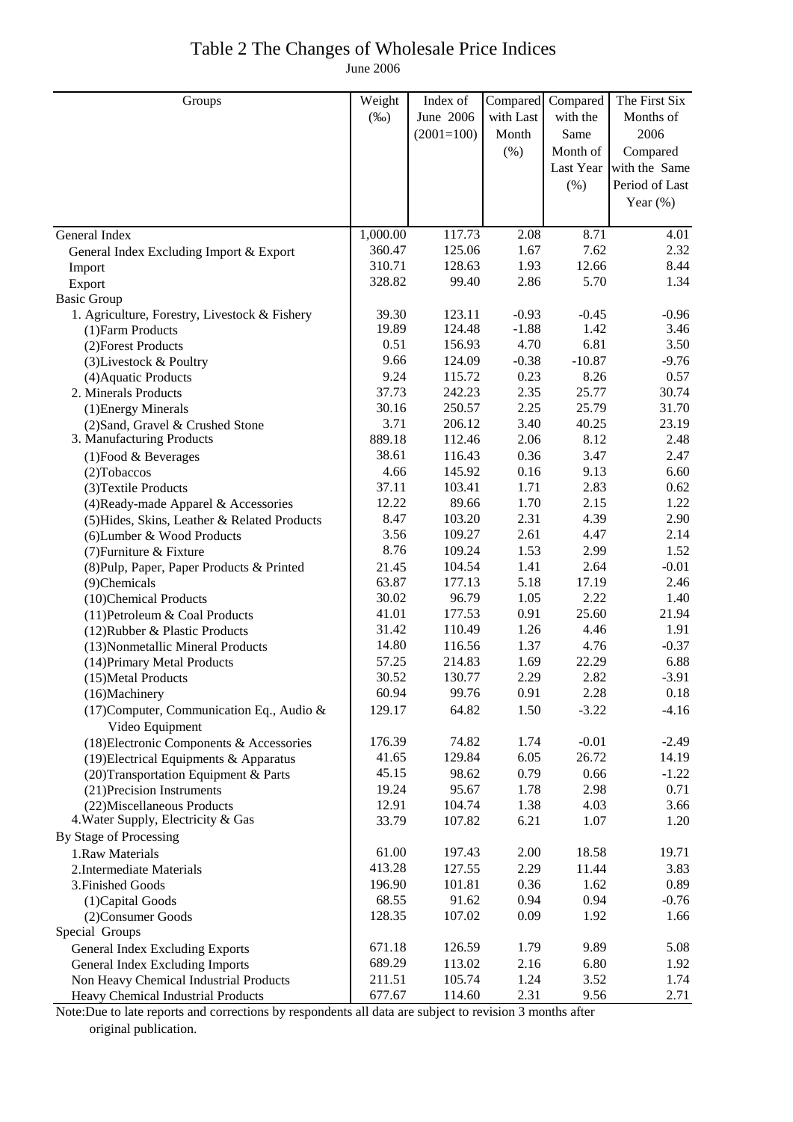## Table 2 The Changes of Wholesale Price Indices

June 2006

| Groups                                                       | Weight   | Index of     | Compared  | Compared | The First Six           |
|--------------------------------------------------------------|----------|--------------|-----------|----------|-------------------------|
|                                                              | $(\%0)$  | June 2006    | with Last | with the | Months of               |
|                                                              |          | $(2001=100)$ | Month     | Same     | 2006                    |
|                                                              |          |              | (% )      | Month of | Compared                |
|                                                              |          |              |           |          | Last Year with the Same |
|                                                              |          |              |           | $(\% )$  | Period of Last          |
|                                                              |          |              |           |          | Year $(\%)$             |
|                                                              |          |              |           |          |                         |
| General Index                                                | 1,000.00 | 117.73       | 2.08      | 8.71     | 4.01                    |
| General Index Excluding Import & Export                      | 360.47   | 125.06       | 1.67      | 7.62     | 2.32                    |
| Import                                                       | 310.71   | 128.63       | 1.93      | 12.66    | 8.44                    |
| Export                                                       | 328.82   | 99.40        | 2.86      | 5.70     | 1.34                    |
| <b>Basic Group</b>                                           |          |              |           |          |                         |
| 1. Agriculture, Forestry, Livestock & Fishery                | 39.30    | 123.11       | $-0.93$   | $-0.45$  | $-0.96$                 |
| (1) Farm Products                                            | 19.89    | 124.48       | $-1.88$   | 1.42     | 3.46                    |
| (2) Forest Products                                          | 0.51     | 156.93       | 4.70      | 6.81     | 3.50                    |
| (3) Livestock & Poultry                                      | 9.66     | 124.09       | $-0.38$   | $-10.87$ | $-9.76$                 |
| (4) Aquatic Products                                         | 9.24     | 115.72       | 0.23      | 8.26     | 0.57                    |
| 2. Minerals Products                                         | 37.73    | 242.23       | 2.35      | 25.77    | 30.74                   |
| (1) Energy Minerals                                          | 30.16    | 250.57       | 2.25      | 25.79    | 31.70                   |
| (2) Sand, Gravel & Crushed Stone                             | 3.71     | 206.12       | 3.40      | 40.25    | 23.19                   |
| 3. Manufacturing Products                                    | 889.18   | 112.46       | 2.06      | 8.12     | 2.48                    |
| $(1)$ Food & Beverages                                       | 38.61    | 116.43       | 0.36      | 3.47     | 2.47                    |
| (2) Tobaccos                                                 | 4.66     | 145.92       | 0.16      | 9.13     | 6.60                    |
| (3) Textile Products                                         | 37.11    | 103.41       | 1.71      | 2.83     | 0.62                    |
| (4) Ready-made Apparel & Accessories                         | 12.22    | 89.66        | 1.70      | 2.15     | 1.22                    |
| (5) Hides, Skins, Leather & Related Products                 | 8.47     | 103.20       | 2.31      | 4.39     | 2.90                    |
| (6) Lumber & Wood Products                                   | 3.56     | 109.27       | 2.61      | 4.47     | 2.14                    |
| (7) Furniture & Fixture                                      | 8.76     | 109.24       | 1.53      | 2.99     | 1.52                    |
| (8) Pulp, Paper, Paper Products & Printed                    | 21.45    | 104.54       | 1.41      | 2.64     | $-0.01$                 |
| (9)Chemicals                                                 | 63.87    | 177.13       | 5.18      | 17.19    | 2.46                    |
| (10)Chemical Products                                        | 30.02    | 96.79        | 1.05      | 2.22     | 1.40                    |
| (11) Petroleum & Coal Products                               | 41.01    | 177.53       | 0.91      | 25.60    | 21.94                   |
| (12) Rubber & Plastic Products                               | 31.42    | 110.49       | 1.26      | 4.46     | 1.91                    |
| (13) Nonmetallic Mineral Products                            | 14.80    | 116.56       | 1.37      | 4.76     | $-0.37$                 |
| (14) Primary Metal Products                                  | 57.25    | 214.83       | 1.69      | 22.29    | 6.88                    |
| (15) Metal Products                                          | 30.52    | 130.77       | 2.29      | 2.82     | $-3.91$                 |
| (16)Machinery                                                | 60.94    | 99.76        | 0.91      | 2.28     | 0.18                    |
| (17) Computer, Communication Eq., Audio &<br>Video Equipment | 129.17   | 64.82        | 1.50      | $-3.22$  | $-4.16$                 |
| (18) Electronic Components & Accessories                     | 176.39   | 74.82        | 1.74      | $-0.01$  | $-2.49$                 |
| (19) Electrical Equipments & Apparatus                       | 41.65    | 129.84       | 6.05      | 26.72    | 14.19                   |
| (20) Transportation Equipment & Parts                        | 45.15    | 98.62        | 0.79      | 0.66     | $-1.22$                 |
| (21) Precision Instruments                                   | 19.24    | 95.67        | 1.78      | 2.98     | 0.71                    |
| (22) Miscellaneous Products                                  | 12.91    | 104.74       | 1.38      | 4.03     | 3.66                    |
| 4. Water Supply, Electricity & Gas                           | 33.79    | 107.82       | 6.21      | 1.07     | 1.20                    |
| By Stage of Processing                                       |          |              |           |          |                         |
| 1.Raw Materials                                              | 61.00    | 197.43       | 2.00      | 18.58    | 19.71                   |
| 2. Intermediate Materials                                    | 413.28   | 127.55       | 2.29      | 11.44    | 3.83                    |
| 3. Finished Goods                                            | 196.90   | 101.81       | 0.36      | 1.62     | 0.89                    |
| (1) Capital Goods                                            | 68.55    | 91.62        | 0.94      | 0.94     | $-0.76$                 |
| (2) Consumer Goods                                           | 128.35   | 107.02       | 0.09      | 1.92     | 1.66                    |
| Special Groups                                               |          |              |           |          |                         |
| General Index Excluding Exports                              | 671.18   | 126.59       | 1.79      | 9.89     | 5.08                    |
| General Index Excluding Imports                              | 689.29   | 113.02       | 2.16      | 6.80     | 1.92                    |
| Non Heavy Chemical Industrial Products                       | 211.51   | 105.74       | 1.24      | 3.52     | 1.74                    |
| Heavy Chemical Industrial Products                           | 677.67   | 114.60       | 2.31      | 9.56     | 2.71                    |

Note:Due to late reports and corrections by respondents all data are subject to revision 3 months after original publication.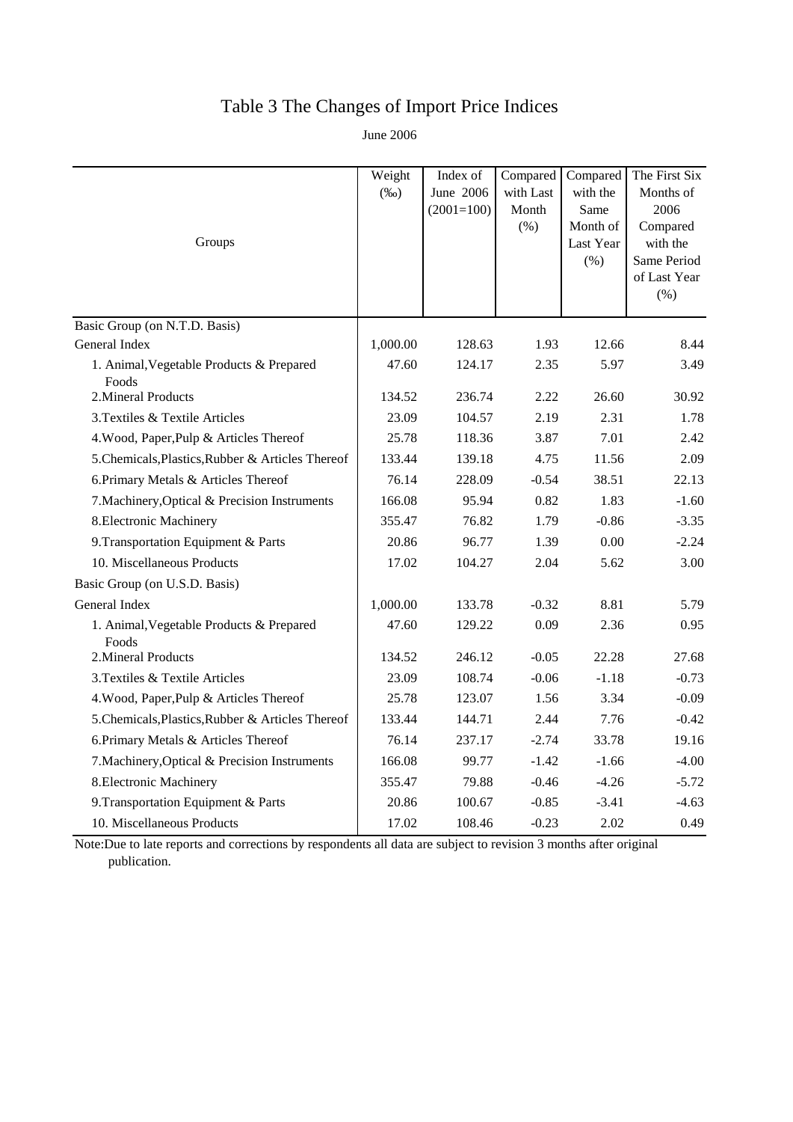# Table 3 The Changes of Import Price Indices

June 2006

|                                                   | Weight   | Index of     | Compared  | Compared          | The First Six           |
|---------------------------------------------------|----------|--------------|-----------|-------------------|-------------------------|
|                                                   | $(\%0)$  | June 2006    | with Last | with the          | Months of               |
|                                                   |          | $(2001=100)$ | Month     | Same              | 2006                    |
| Groups                                            |          |              | $(\% )$   | Month of          | Compared                |
|                                                   |          |              |           | Last Year<br>(% ) | with the<br>Same Period |
|                                                   |          |              |           |                   | of Last Year            |
|                                                   |          |              |           |                   | (% )                    |
| Basic Group (on N.T.D. Basis)                     |          |              |           |                   |                         |
| General Index                                     | 1,000.00 | 128.63       | 1.93      | 12.66             | 8.44                    |
| 1. Animal, Vegetable Products & Prepared<br>Foods | 47.60    | 124.17       | 2.35      | 5.97              | 3.49                    |
| 2. Mineral Products                               | 134.52   | 236.74       | 2.22      | 26.60             | 30.92                   |
| 3. Textiles & Textile Articles                    | 23.09    | 104.57       | 2.19      | 2.31              | 1.78                    |
| 4. Wood, Paper, Pulp & Articles Thereof           | 25.78    | 118.36       | 3.87      | 7.01              | 2.42                    |
| 5. Chemicals, Plastics, Rubber & Articles Thereof | 133.44   | 139.18       | 4.75      | 11.56             | 2.09                    |
| 6. Primary Metals & Articles Thereof              | 76.14    | 228.09       | $-0.54$   | 38.51             | 22.13                   |
| 7. Machinery, Optical & Precision Instruments     | 166.08   | 95.94        | 0.82      | 1.83              | $-1.60$                 |
| 8. Electronic Machinery                           | 355.47   | 76.82        | 1.79      | $-0.86$           | $-3.35$                 |
| 9. Transportation Equipment & Parts               | 20.86    | 96.77        | 1.39      | 0.00              | $-2.24$                 |
| 10. Miscellaneous Products                        | 17.02    | 104.27       | 2.04      | 5.62              | 3.00                    |
| Basic Group (on U.S.D. Basis)                     |          |              |           |                   |                         |
| General Index                                     | 1,000.00 | 133.78       | $-0.32$   | 8.81              | 5.79                    |
| 1. Animal, Vegetable Products & Prepared<br>Foods | 47.60    | 129.22       | 0.09      | 2.36              | 0.95                    |
| 2. Mineral Products                               | 134.52   | 246.12       | $-0.05$   | 22.28             | 27.68                   |
| 3. Textiles & Textile Articles                    | 23.09    | 108.74       | $-0.06$   | $-1.18$           | $-0.73$                 |
| 4. Wood, Paper, Pulp & Articles Thereof           | 25.78    | 123.07       | 1.56      | 3.34              | $-0.09$                 |
| 5. Chemicals, Plastics, Rubber & Articles Thereof | 133.44   | 144.71       | 2.44      | 7.76              | $-0.42$                 |
| 6. Primary Metals & Articles Thereof              | 76.14    | 237.17       | $-2.74$   | 33.78             | 19.16                   |
| 7. Machinery, Optical & Precision Instruments     | 166.08   | 99.77        | $-1.42$   | $-1.66$           | $-4.00$                 |
| 8. Electronic Machinery                           | 355.47   | 79.88        | $-0.46$   | $-4.26$           | $-5.72$                 |
| 9. Transportation Equipment & Parts               | 20.86    | 100.67       | $-0.85$   | $-3.41$           | $-4.63$                 |
| 10. Miscellaneous Products                        | 17.02    | 108.46       | $-0.23$   | 2.02              | 0.49                    |

Note:Due to late reports and corrections by respondents all data are subject to revision 3 months after original publication.